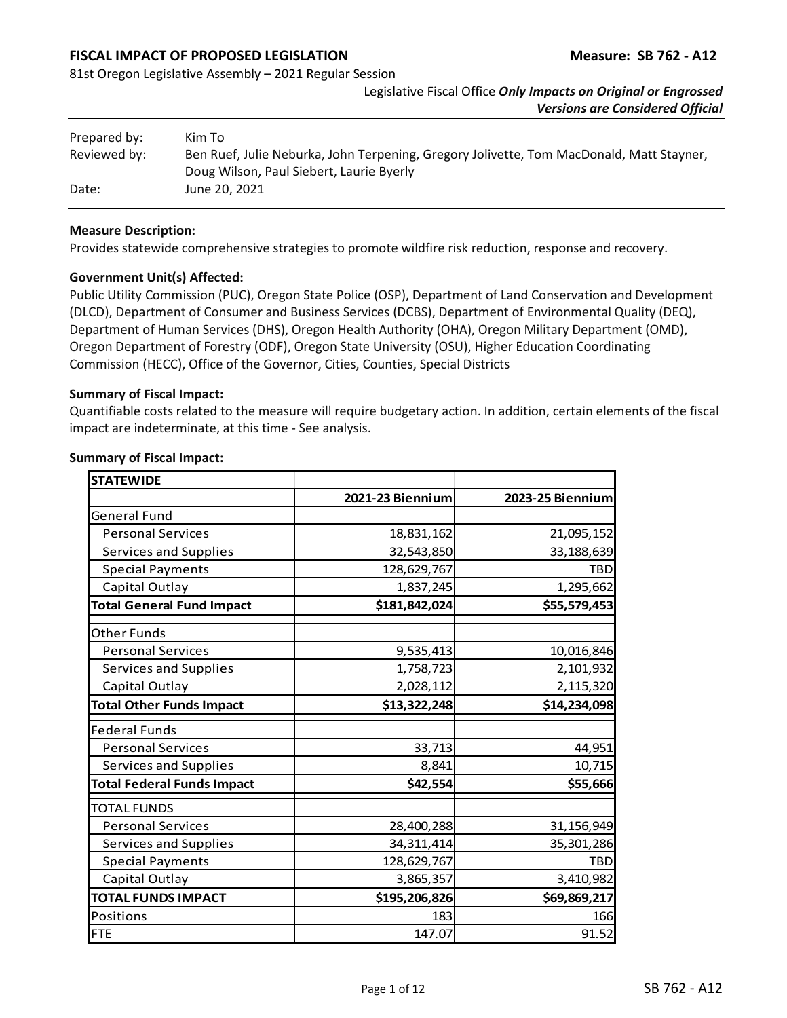# **FISCAL IMPACT OF PROPOSED LEGISLATION Measure: SB 762 - A12**

81st Oregon Legislative Assembly – 2021 Regular Session

Legislative Fiscal Office *Only Impacts on Original or Engrossed Versions are Considered Official*

| Prepared by: | Kim To                                                                                   |
|--------------|------------------------------------------------------------------------------------------|
| Reviewed by: | Ben Ruef, Julie Neburka, John Terpening, Gregory Jolivette, Tom MacDonald, Matt Stayner, |
|              | Doug Wilson, Paul Siebert, Laurie Byerly                                                 |
| Date:        | June 20, 2021                                                                            |

#### **Measure Description:**

Provides statewide comprehensive strategies to promote wildfire risk reduction, response and recovery.

### **Government Unit(s) Affected:**

Public Utility Commission (PUC), Oregon State Police (OSP), Department of Land Conservation and Development (DLCD), Department of Consumer and Business Services (DCBS), Department of Environmental Quality (DEQ), Department of Human Services (DHS), Oregon Health Authority (OHA), Oregon Military Department (OMD), Oregon Department of Forestry (ODF), Oregon State University (OSU), Higher Education Coordinating Commission (HECC), Office of the Governor, Cities, Counties, Special Districts

#### **Summary of Fiscal Impact:**

Quantifiable costs related to the measure will require budgetary action. In addition, certain elements of the fiscal impact are indeterminate, at this time - See analysis.

| <b>STATEWIDE</b>                  |                  |                  |
|-----------------------------------|------------------|------------------|
|                                   | 2021-23 Biennium | 2023-25 Biennium |
| <b>General Fund</b>               |                  |                  |
| <b>Personal Services</b>          | 18,831,162       | 21,095,152       |
| Services and Supplies             | 32,543,850       | 33, 188, 639     |
| <b>Special Payments</b>           | 128,629,767      | <b>TBD</b>       |
| Capital Outlay                    | 1,837,245        | 1,295,662        |
| <b>Total General Fund Impact</b>  | \$181,842,024    | \$55,579,453     |
| <b>Other Funds</b>                |                  |                  |
| <b>Personal Services</b>          | 9,535,413        | 10,016,846       |
| Services and Supplies             | 1,758,723        | 2,101,932        |
| Capital Outlay                    | 2,028,112        | 2,115,320        |
| <b>Total Other Funds Impact</b>   | \$13,322,248     | \$14,234,098     |
| <b>Federal Funds</b>              |                  |                  |
| <b>Personal Services</b>          | 33,713           | 44,951           |
| Services and Supplies             | 8,841            | 10,715           |
| <b>Total Federal Funds Impact</b> | \$42,554         | \$55,666         |
| <b>TOTAL FUNDS</b>                |                  |                  |
| <b>Personal Services</b>          | 28,400,288       | 31,156,949       |
| Services and Supplies             | 34, 311, 414     | 35,301,286       |
| <b>Special Payments</b>           | 128,629,767      | <b>TBD</b>       |
| Capital Outlay                    | 3,865,357        | 3,410,982        |
| <b>TOTAL FUNDS IMPACT</b>         | \$195,206,826    | \$69,869,217     |
| Positions                         | 183              | 166              |
| <b>FTE</b>                        | 147.07           | 91.52            |

### **Summary of Fiscal Impact:**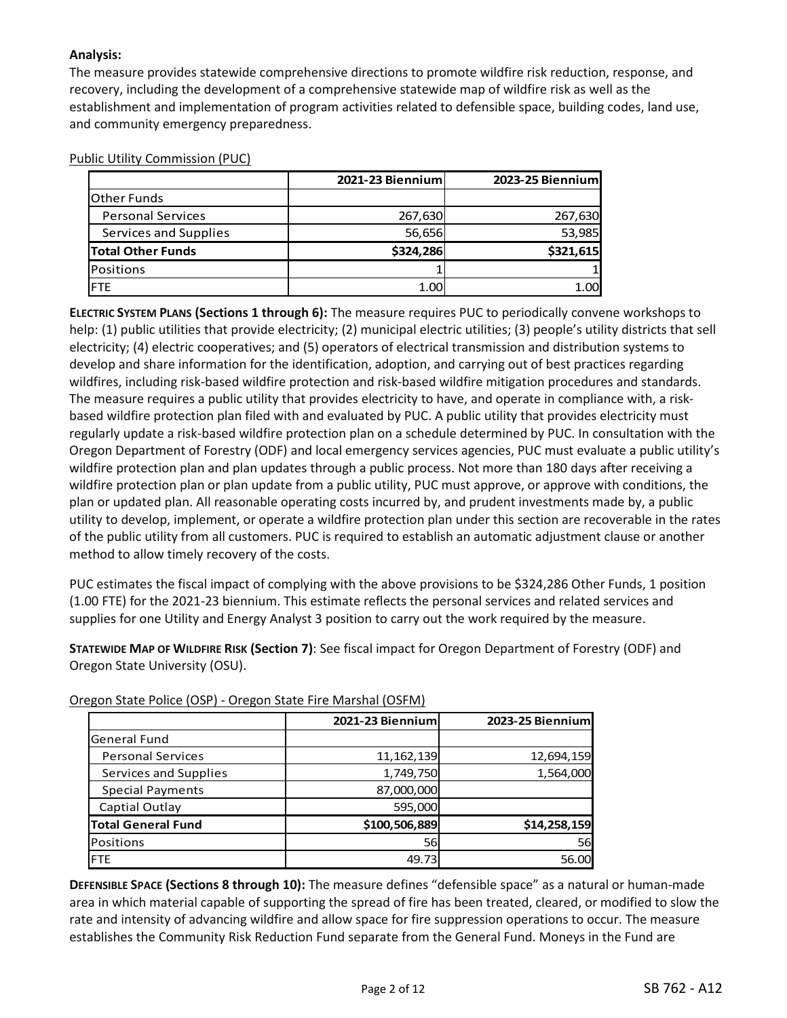# **Analysis:**

The measure provides statewide comprehensive directions to promote wildfire risk reduction, response, and recovery, including the development of a comprehensive statewide map of wildfire risk as well as the establishment and implementation of program activities related to defensible space, building codes, land use, and community emergency preparedness.

|                          | 2021-23 Biennium | 2023-25 Biennium |  |  |
|--------------------------|------------------|------------------|--|--|
| <b>Other Funds</b>       |                  |                  |  |  |
| <b>Personal Services</b> | 267,630          | 267,630          |  |  |
| Services and Supplies    | 56,656           | 53,985           |  |  |
| <b>Total Other Funds</b> | \$324,286        | \$321,615        |  |  |
| Positions                |                  |                  |  |  |
| IFTE                     | 1.00             | 1.00             |  |  |

#### Public Utility Commission (PUC)

**ELECTRIC SYSTEM PLANS (Sections 1 through 6):** The measure requires PUC to periodically convene workshops to help: (1) public utilities that provide electricity; (2) municipal electric utilities; (3) people's utility districts that sell electricity; (4) electric cooperatives; and (5) operators of electrical transmission and distribution systems to develop and share information for the identification, adoption, and carrying out of best practices regarding wildfires, including risk-based wildfire protection and risk-based wildfire mitigation procedures and standards. The measure requires a public utility that provides electricity to have, and operate in compliance with, a riskbased wildfire protection plan filed with and evaluated by PUC. A public utility that provides electricity must regularly update a risk-based wildfire protection plan on a schedule determined by PUC. In consultation with the Oregon Department of Forestry (ODF) and local emergency services agencies, PUC must evaluate a public utility's wildfire protection plan and plan updates through a public process. Not more than 180 days after receiving a wildfire protection plan or plan update from a public utility, PUC must approve, or approve with conditions, the plan or updated plan. All reasonable operating costs incurred by, and prudent investments made by, a public utility to develop, implement, or operate a wildfire protection plan under this section are recoverable in the rates of the public utility from all customers. PUC is required to establish an automatic adjustment clause or another method to allow timely recovery of the costs.

PUC estimates the fiscal impact of complying with the above provisions to be \$324,286 Other Funds, 1 position (1.00 FTE) for the 2021-23 biennium. This estimate reflects the personal services and related services and supplies for one Utility and Energy Analyst 3 position to carry out the work required by the measure.

**STATEWIDE MAP OF WILDFIRE RISK (Section 7)**: See fiscal impact for Oregon Department of Forestry (ODF) and Oregon State University (OSU).

|                           | 2021-23 Biennium | 2023-25 Biennium |
|---------------------------|------------------|------------------|
| <b>General Fund</b>       |                  |                  |
| <b>Personal Services</b>  | 11, 162, 139     | 12,694,159       |
| Services and Supplies     | 1,749,750        | 1,564,000        |
| <b>Special Payments</b>   | 87,000,000       |                  |
| Captial Outlay            | 595,000          |                  |
| <b>Total General Fund</b> | \$100,506,889    | \$14,258,159     |
| <b>Positions</b>          | 56               | 56               |
| <b>FTE</b>                | 49.73            | 56.00            |

Oregon State Police (OSP) - Oregon State Fire Marshal (OSFM)

**DEFENSIBLE SPACE (Sections 8 through 10):** The measure defines "defensible space" as a natural or human-made area in which material capable of supporting the spread of fire has been treated, cleared, or modified to slow the rate and intensity of advancing wildfire and allow space for fire suppression operations to occur. The measure establishes the Community Risk Reduction Fund separate from the General Fund. Moneys in the Fund are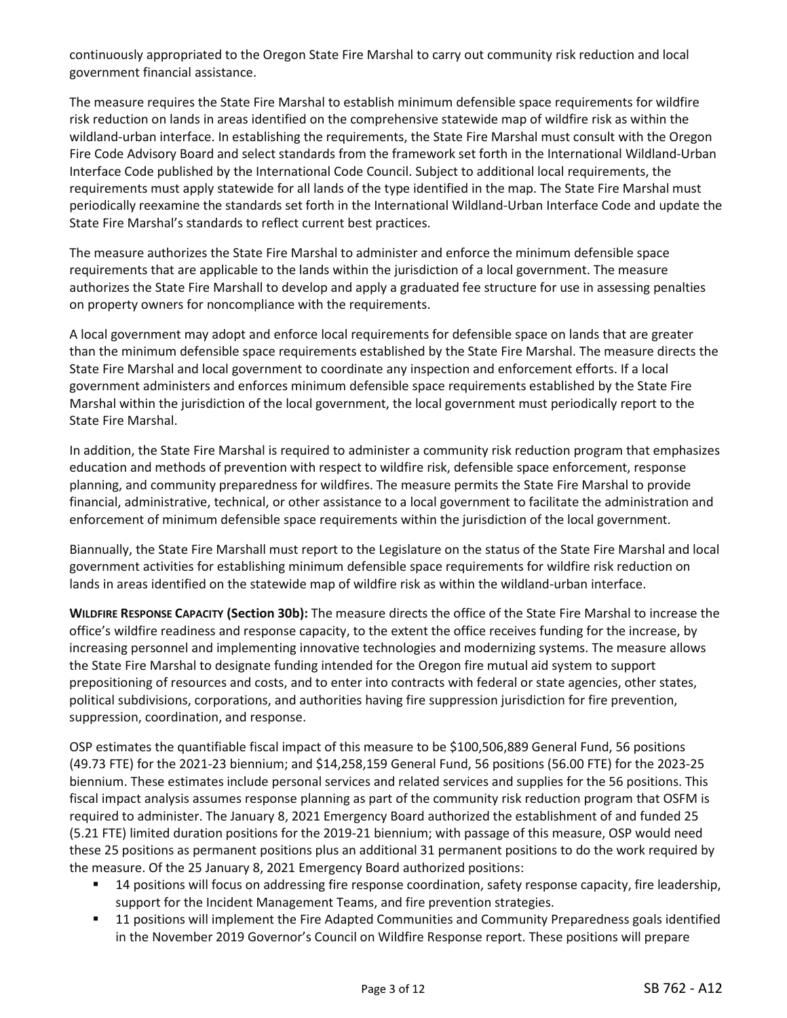continuously appropriated to the Oregon State Fire Marshal to carry out community risk reduction and local government financial assistance.

The measure requires the State Fire Marshal to establish minimum defensible space requirements for wildfire risk reduction on lands in areas identified on the comprehensive statewide map of wildfire risk as within the wildland-urban interface. In establishing the requirements, the State Fire Marshal must consult with the Oregon Fire Code Advisory Board and select standards from the framework set forth in the International Wildland-Urban Interface Code published by the International Code Council. Subject to additional local requirements, the requirements must apply statewide for all lands of the type identified in the map. The State Fire Marshal must periodically reexamine the standards set forth in the International Wildland-Urban Interface Code and update the State Fire Marshal's standards to reflect current best practices.

The measure authorizes the State Fire Marshal to administer and enforce the minimum defensible space requirements that are applicable to the lands within the jurisdiction of a local government. The measure authorizes the State Fire Marshall to develop and apply a graduated fee structure for use in assessing penalties on property owners for noncompliance with the requirements.

A local government may adopt and enforce local requirements for defensible space on lands that are greater than the minimum defensible space requirements established by the State Fire Marshal. The measure directs the State Fire Marshal and local government to coordinate any inspection and enforcement efforts. If a local government administers and enforces minimum defensible space requirements established by the State Fire Marshal within the jurisdiction of the local government, the local government must periodically report to the State Fire Marshal.

In addition, the State Fire Marshal is required to administer a community risk reduction program that emphasizes education and methods of prevention with respect to wildfire risk, defensible space enforcement, response planning, and community preparedness for wildfires. The measure permits the State Fire Marshal to provide financial, administrative, technical, or other assistance to a local government to facilitate the administration and enforcement of minimum defensible space requirements within the jurisdiction of the local government.

Biannually, the State Fire Marshall must report to the Legislature on the status of the State Fire Marshal and local government activities for establishing minimum defensible space requirements for wildfire risk reduction on lands in areas identified on the statewide map of wildfire risk as within the wildland-urban interface.

**WILDFIRE RESPONSE CAPACITY (Section 30b):** The measure directs the office of the State Fire Marshal to increase the office's wildfire readiness and response capacity, to the extent the office receives funding for the increase, by increasing personnel and implementing innovative technologies and modernizing systems. The measure allows the State Fire Marshal to designate funding intended for the Oregon fire mutual aid system to support prepositioning of resources and costs, and to enter into contracts with federal or state agencies, other states, political subdivisions, corporations, and authorities having fire suppression jurisdiction for fire prevention, suppression, coordination, and response.

OSP estimates the quantifiable fiscal impact of this measure to be \$100,506,889 General Fund, 56 positions (49.73 FTE) for the 2021-23 biennium; and \$14,258,159 General Fund, 56 positions (56.00 FTE) for the 2023-25 biennium. These estimates include personal services and related services and supplies for the 56 positions. This fiscal impact analysis assumes response planning as part of the community risk reduction program that OSFM is required to administer. The January 8, 2021 Emergency Board authorized the establishment of and funded 25 (5.21 FTE) limited duration positions for the 2019-21 biennium; with passage of this measure, OSP would need these 25 positions as permanent positions plus an additional 31 permanent positions to do the work required by the measure. Of the 25 January 8, 2021 Emergency Board authorized positions:

- 14 positions will focus on addressing fire response coordination, safety response capacity, fire leadership, support for the Incident Management Teams, and fire prevention strategies.
- 11 positions will implement the Fire Adapted Communities and Community Preparedness goals identified in the November 2019 Governor's Council on Wildfire Response report. These positions will prepare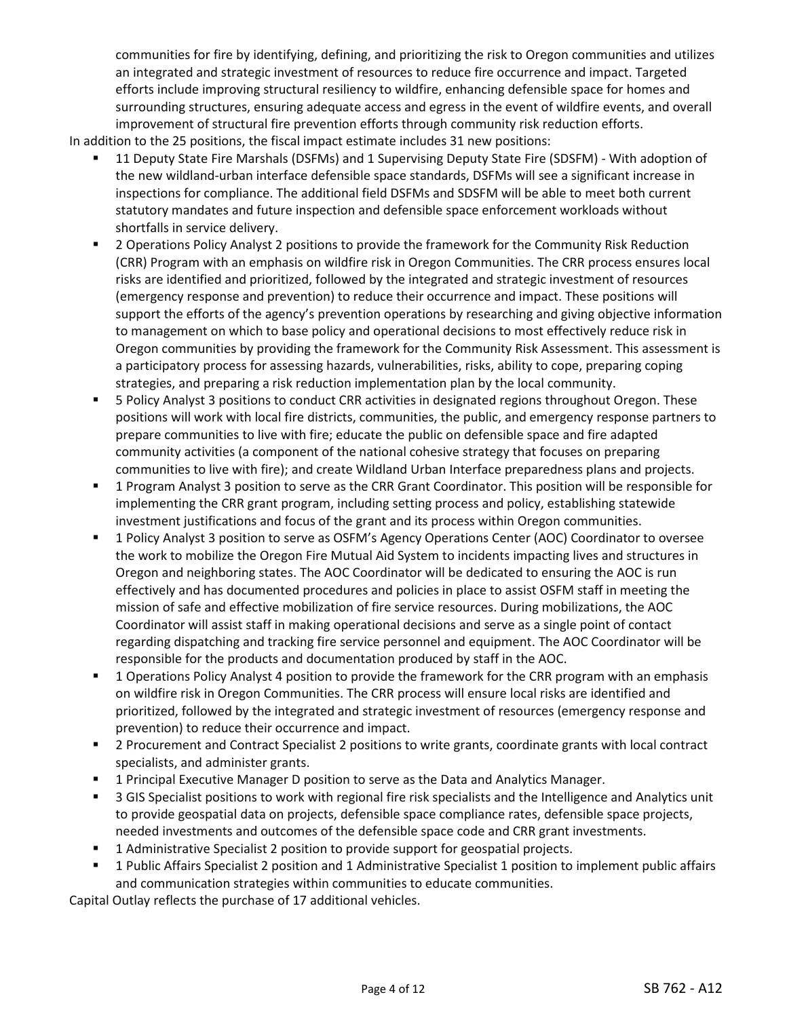communities for fire by identifying, defining, and prioritizing the risk to Oregon communities and utilizes an integrated and strategic investment of resources to reduce fire occurrence and impact. Targeted efforts include improving structural resiliency to wildfire, enhancing defensible space for homes and surrounding structures, ensuring adequate access and egress in the event of wildfire events, and overall improvement of structural fire prevention efforts through community risk reduction efforts.

In addition to the 25 positions, the fiscal impact estimate includes 31 new positions:

- 11 Deputy State Fire Marshals (DSFMs) and 1 Supervising Deputy State Fire (SDSFM) With adoption of the new wildland-urban interface defensible space standards, DSFMs will see a significant increase in inspections for compliance. The additional field DSFMs and SDSFM will be able to meet both current statutory mandates and future inspection and defensible space enforcement workloads without shortfalls in service delivery.
- 2 Operations Policy Analyst 2 positions to provide the framework for the Community Risk Reduction (CRR) Program with an emphasis on wildfire risk in Oregon Communities. The CRR process ensures local risks are identified and prioritized, followed by the integrated and strategic investment of resources (emergency response and prevention) to reduce their occurrence and impact. These positions will support the efforts of the agency's prevention operations by researching and giving objective information to management on which to base policy and operational decisions to most effectively reduce risk in Oregon communities by providing the framework for the Community Risk Assessment. This assessment is a participatory process for assessing hazards, vulnerabilities, risks, ability to cope, preparing coping strategies, and preparing a risk reduction implementation plan by the local community.
- 5 Policy Analyst 3 positions to conduct CRR activities in designated regions throughout Oregon. These positions will work with local fire districts, communities, the public, and emergency response partners to prepare communities to live with fire; educate the public on defensible space and fire adapted community activities (a component of the national cohesive strategy that focuses on preparing communities to live with fire); and create Wildland Urban Interface preparedness plans and projects.
- 1 Program Analyst 3 position to serve as the CRR Grant Coordinator. This position will be responsible for implementing the CRR grant program, including setting process and policy, establishing statewide investment justifications and focus of the grant and its process within Oregon communities.
- 1 Policy Analyst 3 position to serve as OSFM's Agency Operations Center (AOC) Coordinator to oversee the work to mobilize the Oregon Fire Mutual Aid System to incidents impacting lives and structures in Oregon and neighboring states. The AOC Coordinator will be dedicated to ensuring the AOC is run effectively and has documented procedures and policies in place to assist OSFM staff in meeting the mission of safe and effective mobilization of fire service resources. During mobilizations, the AOC Coordinator will assist staff in making operational decisions and serve as a single point of contact regarding dispatching and tracking fire service personnel and equipment. The AOC Coordinator will be responsible for the products and documentation produced by staff in the AOC.
- 1 Operations Policy Analyst 4 position to provide the framework for the CRR program with an emphasis on wildfire risk in Oregon Communities. The CRR process will ensure local risks are identified and prioritized, followed by the integrated and strategic investment of resources (emergency response and prevention) to reduce their occurrence and impact.
- 2 Procurement and Contract Specialist 2 positions to write grants, coordinate grants with local contract specialists, and administer grants.
- 1 Principal Executive Manager D position to serve as the Data and Analytics Manager.
- **5** 3 GIS Specialist positions to work with regional fire risk specialists and the Intelligence and Analytics unit to provide geospatial data on projects, defensible space compliance rates, defensible space projects, needed investments and outcomes of the defensible space code and CRR grant investments.
- 1 Administrative Specialist 2 position to provide support for geospatial projects.
- 1 Public Affairs Specialist 2 position and 1 Administrative Specialist 1 position to implement public affairs and communication strategies within communities to educate communities.

Capital Outlay reflects the purchase of 17 additional vehicles.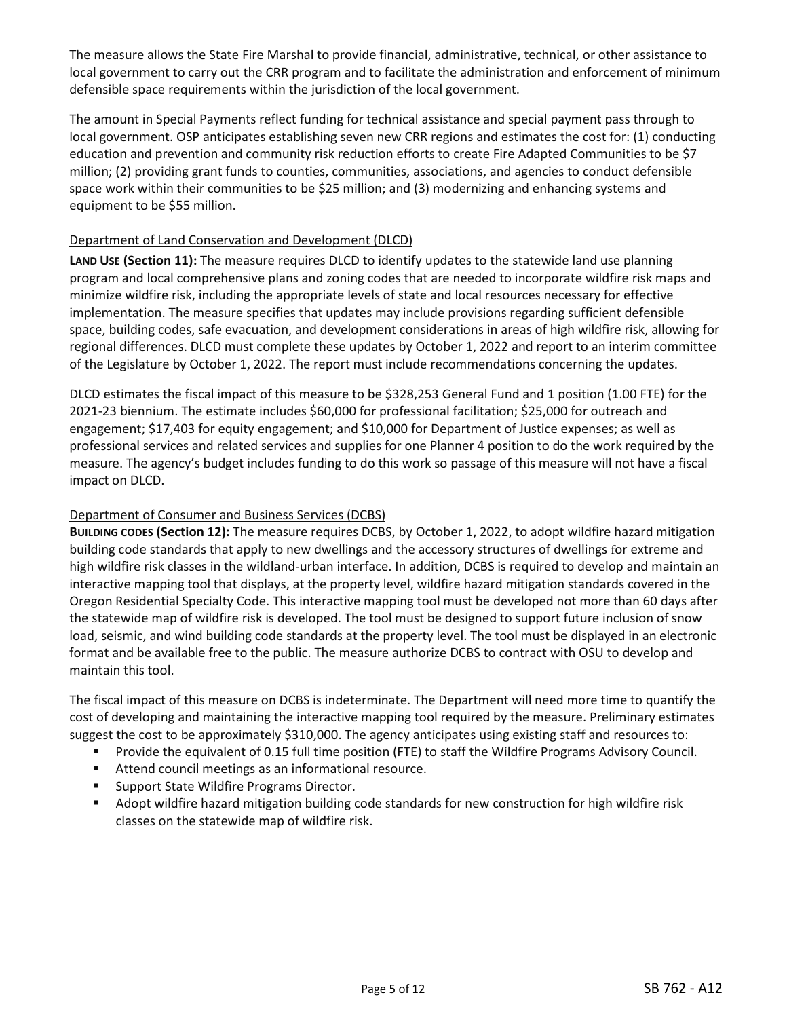The measure allows the State Fire Marshal to provide financial, administrative, technical, or other assistance to local government to carry out the CRR program and to facilitate the administration and enforcement of minimum defensible space requirements within the jurisdiction of the local government.

The amount in Special Payments reflect funding for technical assistance and special payment pass through to local government. OSP anticipates establishing seven new CRR regions and estimates the cost for: (1) conducting education and prevention and community risk reduction efforts to create Fire Adapted Communities to be \$7 million; (2) providing grant funds to counties, communities, associations, and agencies to conduct defensible space work within their communities to be \$25 million; and (3) modernizing and enhancing systems and equipment to be \$55 million.

## Department of Land Conservation and Development (DLCD)

**LAND USE (Section 11):** The measure requires DLCD to identify updates to the statewide land use planning program and local comprehensive plans and zoning codes that are needed to incorporate wildfire risk maps and minimize wildfire risk, including the appropriate levels of state and local resources necessary for effective implementation. The measure specifies that updates may include provisions regarding sufficient defensible space, building codes, safe evacuation, and development considerations in areas of high wildfire risk, allowing for regional differences. DLCD must complete these updates by October 1, 2022 and report to an interim committee of the Legislature by October 1, 2022. The report must include recommendations concerning the updates.

DLCD estimates the fiscal impact of this measure to be \$328,253 General Fund and 1 position (1.00 FTE) for the 2021-23 biennium. The estimate includes \$60,000 for professional facilitation; \$25,000 for outreach and engagement; \$17,403 for equity engagement; and \$10,000 for Department of Justice expenses; as well as professional services and related services and supplies for one Planner 4 position to do the work required by the measure. The agency's budget includes funding to do this work so passage of this measure will not have a fiscal impact on DLCD.

## Department of Consumer and Business Services (DCBS)

**BUILDING CODES (Section 12):** The measure requires DCBS, by October 1, 2022, to adopt wildfire hazard mitigation building code standards that apply to new dwellings and the accessory structures of dwellings for extreme and high wildfire risk classes in the wildland-urban interface. In addition, DCBS is required to develop and maintain an interactive mapping tool that displays, at the property level, wildfire hazard mitigation standards covered in the Oregon Residential Specialty Code. This interactive mapping tool must be developed not more than 60 days after the statewide map of wildfire risk is developed. The tool must be designed to support future inclusion of snow load, seismic, and wind building code standards at the property level. The tool must be displayed in an electronic format and be available free to the public. The measure authorize DCBS to contract with OSU to develop and maintain this tool.

The fiscal impact of this measure on DCBS is indeterminate. The Department will need more time to quantify the cost of developing and maintaining the interactive mapping tool required by the measure. Preliminary estimates suggest the cost to be approximately \$310,000. The agency anticipates using existing staff and resources to:

- Provide the equivalent of 0.15 full time position (FTE) to staff the Wildfire Programs Advisory Council.
- Attend council meetings as an informational resource.
- **Support State Wildfire Programs Director.**
- Adopt wildfire hazard mitigation building code standards for new construction for high wildfire risk classes on the statewide map of wildfire risk.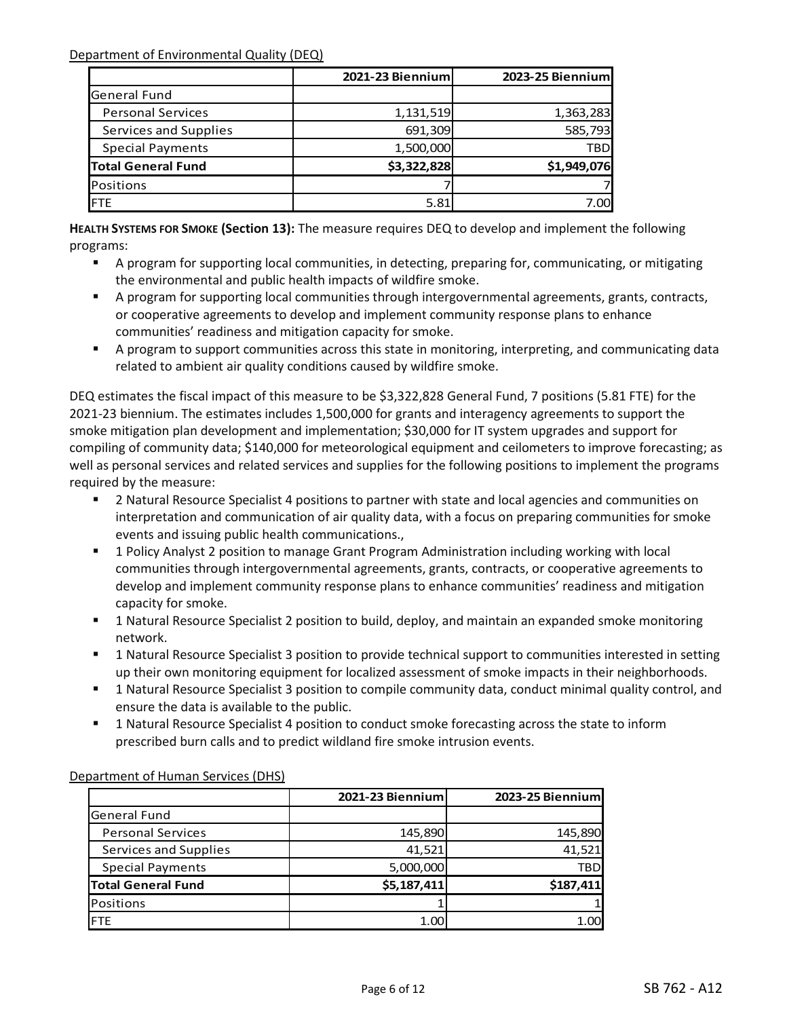Department of Environmental Quality (DEQ)

|                           | <b>2021-23 Biennium</b> | 2023-25 Biennium |
|---------------------------|-------------------------|------------------|
| <b>General Fund</b>       |                         |                  |
| <b>Personal Services</b>  | 1,131,519               | 1,363,283        |
| Services and Supplies     | 691,309                 | 585,793          |
| <b>Special Payments</b>   | 1,500,000               | <b>TBD</b>       |
| <b>Total General Fund</b> | \$3,322,828             | \$1,949,076      |
| Positions                 |                         |                  |
| <b>IFTE</b>               | 5.81                    | 7.00             |

**HEALTH SYSTEMS FOR SMOKE (Section 13):** The measure requires DEQ to develop and implement the following programs:

- A program for supporting local communities, in detecting, preparing for, communicating, or mitigating the environmental and public health impacts of wildfire smoke.
- A program for supporting local communities through intergovernmental agreements, grants, contracts, or cooperative agreements to develop and implement community response plans to enhance communities' readiness and mitigation capacity for smoke.
- A program to support communities across this state in monitoring, interpreting, and communicating data related to ambient air quality conditions caused by wildfire smoke.

DEQ estimates the fiscal impact of this measure to be \$3,322,828 General Fund, 7 positions (5.81 FTE) for the 2021-23 biennium. The estimates includes 1,500,000 for grants and interagency agreements to support the smoke mitigation plan development and implementation; \$30,000 for IT system upgrades and support for compiling of community data; \$140,000 for meteorological equipment and ceilometers to improve forecasting; as well as personal services and related services and supplies for the following positions to implement the programs required by the measure:

- 2 Natural Resource Specialist 4 positions to partner with state and local agencies and communities on interpretation and communication of air quality data, with a focus on preparing communities for smoke events and issuing public health communications.,
- 1 Policy Analyst 2 position to manage Grant Program Administration including working with local communities through intergovernmental agreements, grants, contracts, or cooperative agreements to develop and implement community response plans to enhance communities' readiness and mitigation capacity for smoke.
- **1** Natural Resource Specialist 2 position to build, deploy, and maintain an expanded smoke monitoring network.
- 1 Natural Resource Specialist 3 position to provide technical support to communities interested in setting up their own monitoring equipment for localized assessment of smoke impacts in their neighborhoods.
- 1 Natural Resource Specialist 3 position to compile community data, conduct minimal quality control, and ensure the data is available to the public.
- 1 Natural Resource Specialist 4 position to conduct smoke forecasting across the state to inform prescribed burn calls and to predict wildland fire smoke intrusion events.

|                           | 2021-23 Biennium | 2023-25 Biennium |
|---------------------------|------------------|------------------|
| <b>General Fund</b>       |                  |                  |
| <b>Personal Services</b>  | 145,890          | 145,890          |
| Services and Supplies     | 41,521           | 41,521           |
| <b>Special Payments</b>   | 5,000,000        | <b>TBD</b>       |
| <b>Total General Fund</b> | \$5,187,411      | \$187,411        |
| Positions                 |                  |                  |
| <b>FTE</b>                | 1.00             | 1.00             |

## Department of Human Services (DHS)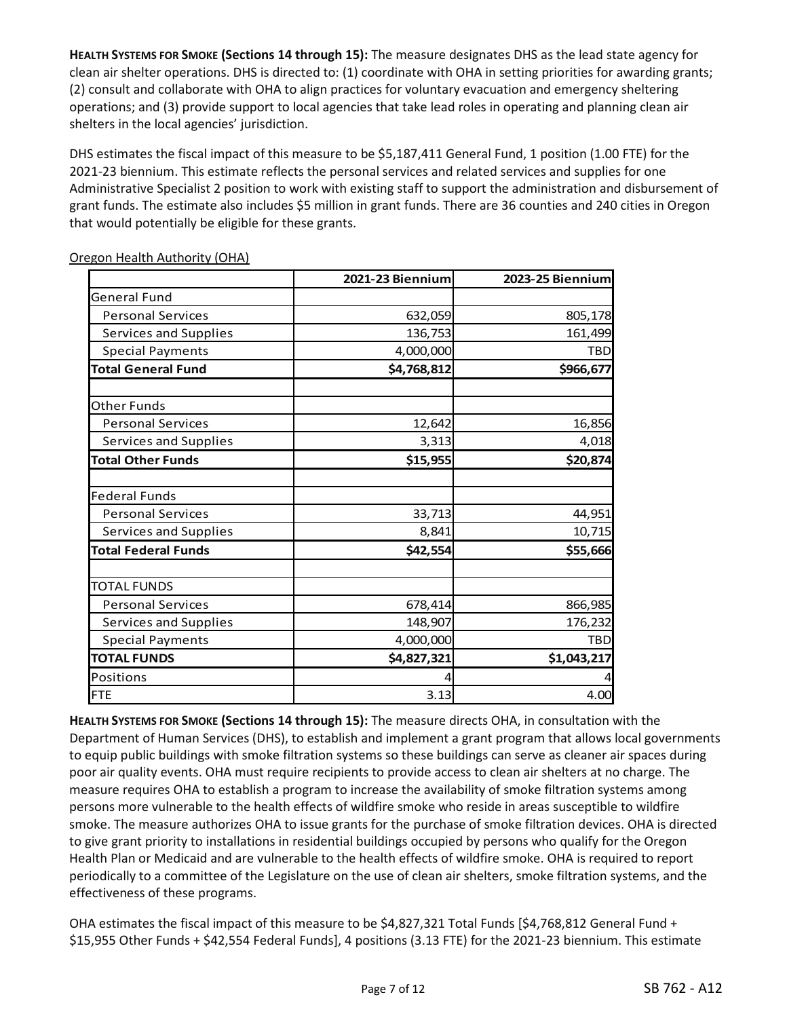**HEALTH SYSTEMS FOR SMOKE (Sections 14 through 15):** The measure designates DHS as the lead state agency for clean air shelter operations. DHS is directed to: (1) coordinate with OHA in setting priorities for awarding grants; (2) consult and collaborate with OHA to align practices for voluntary evacuation and emergency sheltering operations; and (3) provide support to local agencies that take lead roles in operating and planning clean air shelters in the local agencies' jurisdiction.

DHS estimates the fiscal impact of this measure to be \$5,187,411 General Fund, 1 position (1.00 FTE) for the 2021-23 biennium. This estimate reflects the personal services and related services and supplies for one Administrative Specialist 2 position to work with existing staff to support the administration and disbursement of grant funds. The estimate also includes \$5 million in grant funds. There are 36 counties and 240 cities in Oregon that would potentially be eligible for these grants.

|                            | 2021-23 Biennium | 2023-25 Biennium |
|----------------------------|------------------|------------------|
| <b>General Fund</b>        |                  |                  |
| <b>Personal Services</b>   | 632,059          | 805,178          |
| Services and Supplies      | 136,753          | 161,499          |
| <b>Special Payments</b>    | 4,000,000        | <b>TBD</b>       |
| <b>Total General Fund</b>  | \$4,768,812      | \$966,677        |
| <b>Other Funds</b>         |                  |                  |
| <b>Personal Services</b>   | 12,642           | 16,856           |
| Services and Supplies      | 3,313            | 4,018            |
| <b>Total Other Funds</b>   | \$15,955         | \$20,874         |
| <b>Federal Funds</b>       |                  |                  |
| <b>Personal Services</b>   | 33,713           | 44,951           |
| Services and Supplies      | 8,841            | 10,715           |
| <b>Total Federal Funds</b> | \$42,554         | \$55,666         |
| <b>TOTAL FUNDS</b>         |                  |                  |
| <b>Personal Services</b>   | 678,414          | 866,985          |
| Services and Supplies      | 148,907          | 176,232          |
| <b>Special Payments</b>    | 4,000,000        | <b>TBD</b>       |
| <b>TOTAL FUNDS</b>         | \$4,827,321      | \$1,043,217      |
| Positions                  | 4                |                  |
| <b>FTE</b>                 | 3.13             | 4.00             |

Oregon Health Authority (OHA)

**HEALTH SYSTEMS FOR SMOKE (Sections 14 through 15):** The measure directs OHA, in consultation with the Department of Human Services (DHS), to establish and implement a grant program that allows local governments to equip public buildings with smoke filtration systems so these buildings can serve as cleaner air spaces during poor air quality events. OHA must require recipients to provide access to clean air shelters at no charge. The measure requires OHA to establish a program to increase the availability of smoke filtration systems among persons more vulnerable to the health effects of wildfire smoke who reside in areas susceptible to wildfire smoke. The measure authorizes OHA to issue grants for the purchase of smoke filtration devices. OHA is directed to give grant priority to installations in residential buildings occupied by persons who qualify for the Oregon Health Plan or Medicaid and are vulnerable to the health effects of wildfire smoke. OHA is required to report periodically to a committee of the Legislature on the use of clean air shelters, smoke filtration systems, and the effectiveness of these programs.

OHA estimates the fiscal impact of this measure to be \$4,827,321 Total Funds [\$4,768,812 General Fund + \$15,955 Other Funds + \$42,554 Federal Funds], 4 positions (3.13 FTE) for the 2021-23 biennium. This estimate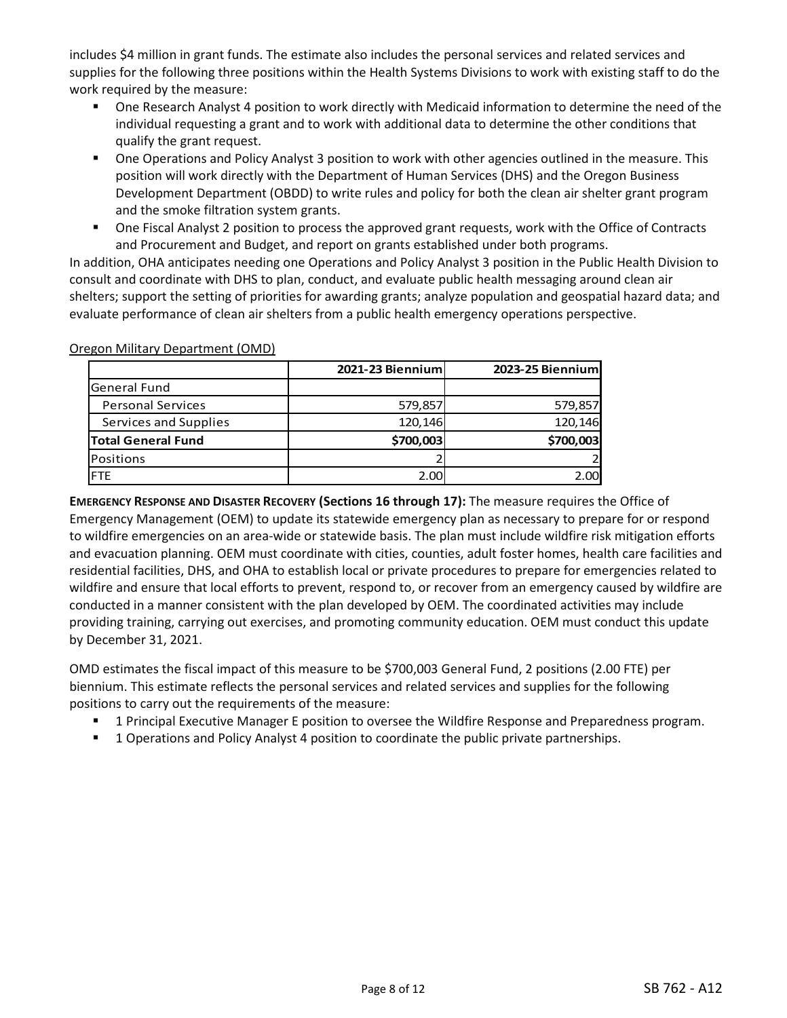includes \$4 million in grant funds. The estimate also includes the personal services and related services and supplies for the following three positions within the Health Systems Divisions to work with existing staff to do the work required by the measure:

- One Research Analyst 4 position to work directly with Medicaid information to determine the need of the individual requesting a grant and to work with additional data to determine the other conditions that qualify the grant request.
- One Operations and Policy Analyst 3 position to work with other agencies outlined in the measure. This position will work directly with the Department of Human Services (DHS) and the Oregon Business Development Department (OBDD) to write rules and policy for both the clean air shelter grant program and the smoke filtration system grants.
- One Fiscal Analyst 2 position to process the approved grant requests, work with the Office of Contracts and Procurement and Budget, and report on grants established under both programs.

In addition, OHA anticipates needing one Operations and Policy Analyst 3 position in the Public Health Division to consult and coordinate with DHS to plan, conduct, and evaluate public health messaging around clean air shelters; support the setting of priorities for awarding grants; analyze population and geospatial hazard data; and evaluate performance of clean air shelters from a public health emergency operations perspective.

|                           | 2021-23 Biennium | 2023-25 Biennium |
|---------------------------|------------------|------------------|
| <b>General Fund</b>       |                  |                  |
| <b>Personal Services</b>  | 579,857          | 579,857          |
| Services and Supplies     | 120,146          | 120,146          |
| <b>Total General Fund</b> | \$700,003        | \$700,003        |
| Positions                 |                  |                  |
| FTF                       | 2.00             | 2.00             |

Oregon Military Department (OMD)

**EMERGENCY RESPONSE AND DISASTER RECOVERY (Sections 16 through 17):** The measure requires the Office of Emergency Management (OEM) to update its statewide emergency plan as necessary to prepare for or respond to wildfire emergencies on an area-wide or statewide basis. The plan must include wildfire risk mitigation efforts and evacuation planning. OEM must coordinate with cities, counties, adult foster homes, health care facilities and residential facilities, DHS, and OHA to establish local or private procedures to prepare for emergencies related to wildfire and ensure that local efforts to prevent, respond to, or recover from an emergency caused by wildfire are conducted in a manner consistent with the plan developed by OEM. The coordinated activities may include providing training, carrying out exercises, and promoting community education. OEM must conduct this update by December 31, 2021.

OMD estimates the fiscal impact of this measure to be \$700,003 General Fund, 2 positions (2.00 FTE) per biennium. This estimate reflects the personal services and related services and supplies for the following positions to carry out the requirements of the measure:

- 1 Principal Executive Manager E position to oversee the Wildfire Response and Preparedness program.
- **1** Operations and Policy Analyst 4 position to coordinate the public private partnerships.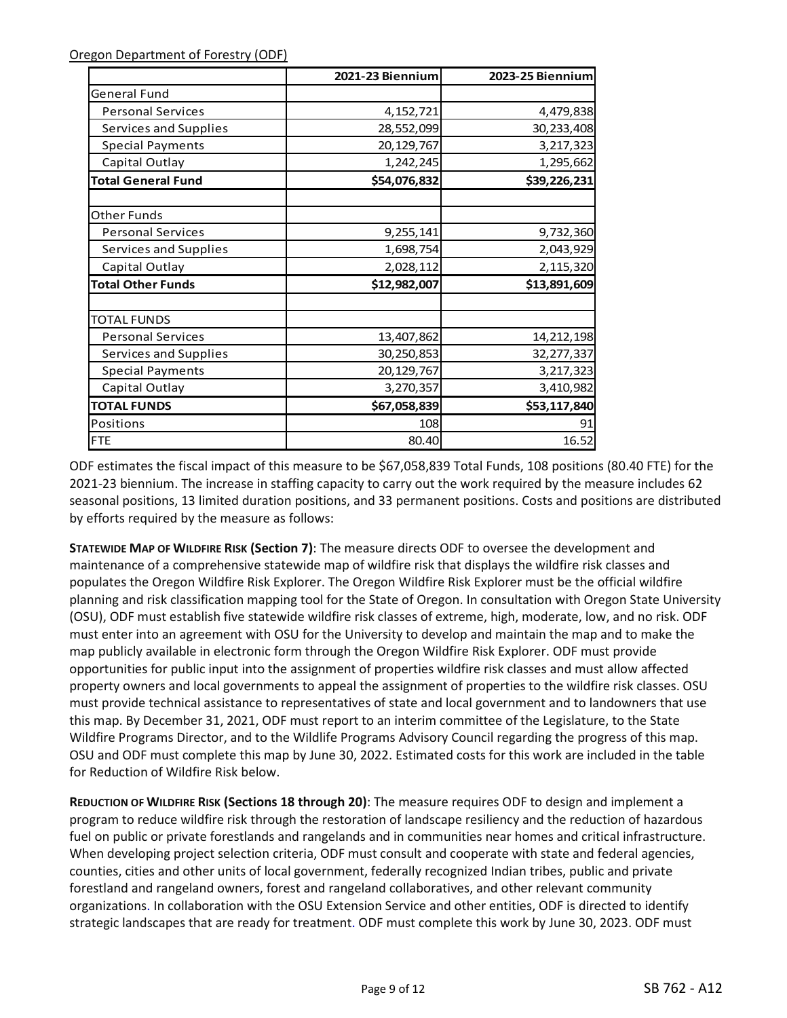|                           | 2021-23 Biennium | 2023-25 Biennium |
|---------------------------|------------------|------------------|
| General Fund              |                  |                  |
| <b>Personal Services</b>  | 4, 152, 721      | 4,479,838        |
| Services and Supplies     | 28,552,099       | 30,233,408       |
| <b>Special Payments</b>   | 20,129,767       | 3,217,323        |
| Capital Outlay            | 1,242,245        | 1,295,662        |
| <b>Total General Fund</b> | \$54,076,832     | \$39,226,231     |
| Other Funds               |                  |                  |
| <b>Personal Services</b>  | 9,255,141        | 9,732,360        |
| Services and Supplies     | 1,698,754        | 2,043,929        |
| Capital Outlay            | 2,028,112        | 2,115,320        |
| <b>Total Other Funds</b>  | \$12,982,007     | \$13,891,609     |
| <b>TOTAL FUNDS</b>        |                  |                  |
| <b>Personal Services</b>  | 13,407,862       | 14, 212, 198     |
| Services and Supplies     | 30,250,853       | 32,277,337       |
| <b>Special Payments</b>   | 20,129,767       | 3,217,323        |
| Capital Outlay            | 3,270,357        | 3,410,982        |
| <b>TOTAL FUNDS</b>        | \$67,058,839     | \$53,117,840     |
| Positions                 | 108              | 91               |
| <b>FTE</b>                | 80.40            | 16.52            |

ODF estimates the fiscal impact of this measure to be \$67,058,839 Total Funds, 108 positions (80.40 FTE) for the 2021-23 biennium. The increase in staffing capacity to carry out the work required by the measure includes 62 seasonal positions, 13 limited duration positions, and 33 permanent positions. Costs and positions are distributed by efforts required by the measure as follows:

**STATEWIDE MAP OF WILDFIRE RISK (Section 7)**: The measure directs ODF to oversee the development and maintenance of a comprehensive statewide map of wildfire risk that displays the wildfire risk classes and populates the Oregon Wildfire Risk Explorer. The Oregon Wildfire Risk Explorer must be the official wildfire planning and risk classification mapping tool for the State of Oregon. In consultation with Oregon State University (OSU), ODF must establish five statewide wildfire risk classes of extreme, high, moderate, low, and no risk. ODF must enter into an agreement with OSU for the University to develop and maintain the map and to make the map publicly available in electronic form through the Oregon Wildfire Risk Explorer. ODF must provide opportunities for public input into the assignment of properties wildfire risk classes and must allow affected property owners and local governments to appeal the assignment of properties to the wildfire risk classes. OSU must provide technical assistance to representatives of state and local government and to landowners that use this map. By December 31, 2021, ODF must report to an interim committee of the Legislature, to the State Wildfire Programs Director, and to the Wildlife Programs Advisory Council regarding the progress of this map. OSU and ODF must complete this map by June 30, 2022. Estimated costs for this work are included in the table for Reduction of Wildfire Risk below.

**REDUCTION OF WILDFIRE RISK (Sections 18 through 20)**: The measure requires ODF to design and implement a program to reduce wildfire risk through the restoration of landscape resiliency and the reduction of hazardous fuel on public or private forestlands and rangelands and in communities near homes and critical infrastructure. When developing project selection criteria, ODF must consult and cooperate with state and federal agencies, counties, cities and other units of local government, federally recognized Indian tribes, public and private forestland and rangeland owners, forest and rangeland collaboratives, and other relevant community organizations. In collaboration with the OSU Extension Service and other entities, ODF is directed to identify strategic landscapes that are ready for treatment. ODF must complete this work by June 30, 2023. ODF must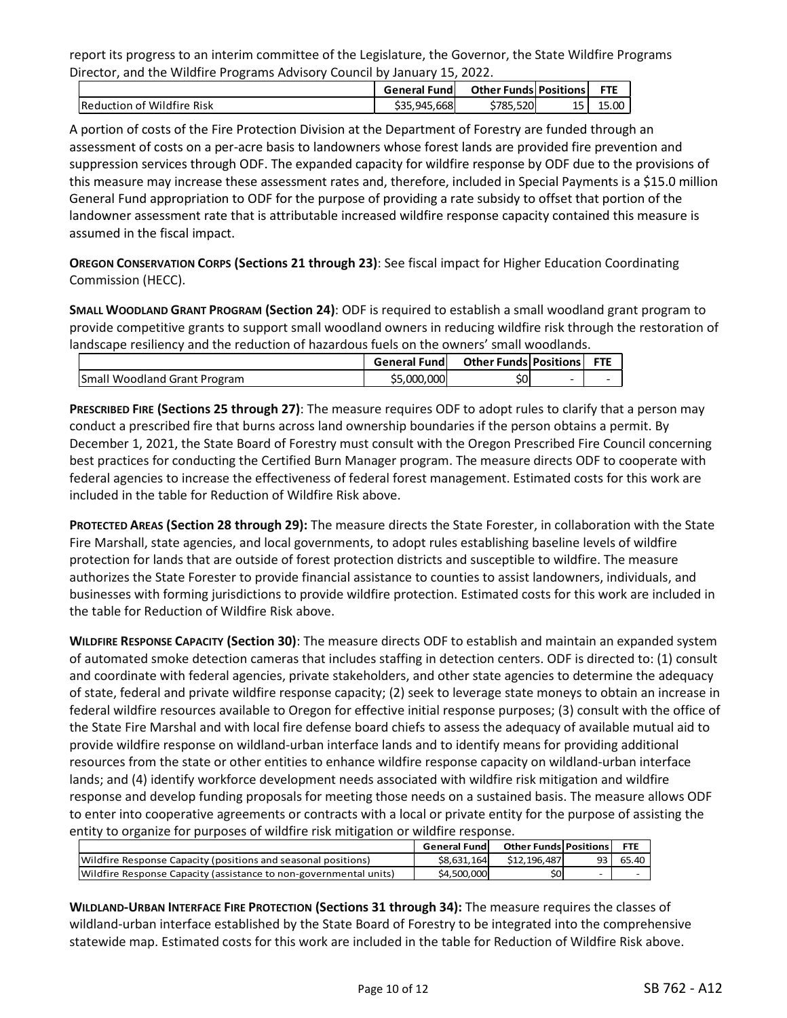report its progress to an interim committee of the Legislature, the Governor, the State Wildfire Programs Director, and the Wildfire Programs Advisory Council by January 15, 2022.

|                            | <b>General Fundl</b> | <b>Other Funds Positions</b> |    | <b>FTE</b> |
|----------------------------|----------------------|------------------------------|----|------------|
| Reduction of Wildfire Risk | \$35.945.668         | \$785,520                    | 15 | 15.00      |

A portion of costs of the Fire Protection Division at the Department of Forestry are funded through an assessment of costs on a per-acre basis to landowners whose forest lands are provided fire prevention and suppression services through ODF. The expanded capacity for wildfire response by ODF due to the provisions of this measure may increase these assessment rates and, therefore, included in Special Payments is a \$15.0 million General Fund appropriation to ODF for the purpose of providing a rate subsidy to offset that portion of the landowner assessment rate that is attributable increased wildfire response capacity contained this measure is assumed in the fiscal impact.

**OREGON CONSERVATION CORPS (Sections 21 through 23)**: See fiscal impact for Higher Education Coordinating Commission (HECC).

**SMALL WOODLAND GRANT PROGRAM (Section 24)**: ODF is required to establish a small woodland grant program to provide competitive grants to support small woodland owners in reducing wildfire risk through the restoration of landscape resiliency and the reduction of hazardous fuels on the owners' small woodlands.

|                                     | <b>General Fundl</b> | <b>Other Funds Positions</b> |                          | <b>FTE</b> |
|-------------------------------------|----------------------|------------------------------|--------------------------|------------|
| <b>Small Woodland Grant Program</b> | \$5,000,000          |                              | $\overline{\phantom{0}}$ |            |

**PRESCRIBED FIRE (Sections 25 through 27)**: The measure requires ODF to adopt rules to clarify that a person may conduct a prescribed fire that burns across land ownership boundaries if the person obtains a permit. By December 1, 2021, the State Board of Forestry must consult with the Oregon Prescribed Fire Council concerning best practices for conducting the Certified Burn Manager program. The measure directs ODF to cooperate with federal agencies to increase the effectiveness of federal forest management. Estimated costs for this work are included in the table for Reduction of Wildfire Risk above.

**PROTECTED AREAS (Section 28 through 29):** The measure directs the State Forester, in collaboration with the State Fire Marshall, state agencies, and local governments, to adopt rules establishing baseline levels of wildfire protection for lands that are outside of forest protection districts and susceptible to wildfire. The measure authorizes the State Forester to provide financial assistance to counties to assist landowners, individuals, and businesses with forming jurisdictions to provide wildfire protection. Estimated costs for this work are included in the table for Reduction of Wildfire Risk above.

**WILDFIRE RESPONSE CAPACITY (Section 30)**: The measure directs ODF to establish and maintain an expanded system of automated smoke detection cameras that includes staffing in detection centers. ODF is directed to: (1) consult and coordinate with federal agencies, private stakeholders, and other state agencies to determine the adequacy of state, federal and private wildfire response capacity; (2) seek to leverage state moneys to obtain an increase in federal wildfire resources available to Oregon for effective initial response purposes; (3) consult with the office of the State Fire Marshal and with local fire defense board chiefs to assess the adequacy of available mutual aid to provide wildfire response on wildland-urban interface lands and to identify means for providing additional resources from the state or other entities to enhance wildfire response capacity on wildland-urban interface lands; and (4) identify workforce development needs associated with wildfire risk mitigation and wildfire response and develop funding proposals for meeting those needs on a sustained basis. The measure allows ODF to enter into cooperative agreements or contracts with a local or private entity for the purpose of assisting the entity to organize for purposes of wildfire risk mitigation or wildfire response.

|                                                                   | <b>General Fund</b> | <b>Other Funds Positions</b> |    | <b>FTE</b> |
|-------------------------------------------------------------------|---------------------|------------------------------|----|------------|
| (Wildfire Response Capacity (positions and seasonal positions)    | \$8.631.164         | \$12.196.487                 | 93 | 65.40      |
| Wildfire Response Capacity (assistance to non-governmental units) | \$4,500,000         | \$0l                         | -  |            |

**WILDLAND-URBAN INTERFACE FIRE PROTECTION (Sections 31 through 34):** The measure requires the classes of wildland-urban interface established by the State Board of Forestry to be integrated into the comprehensive statewide map. Estimated costs for this work are included in the table for Reduction of Wildfire Risk above.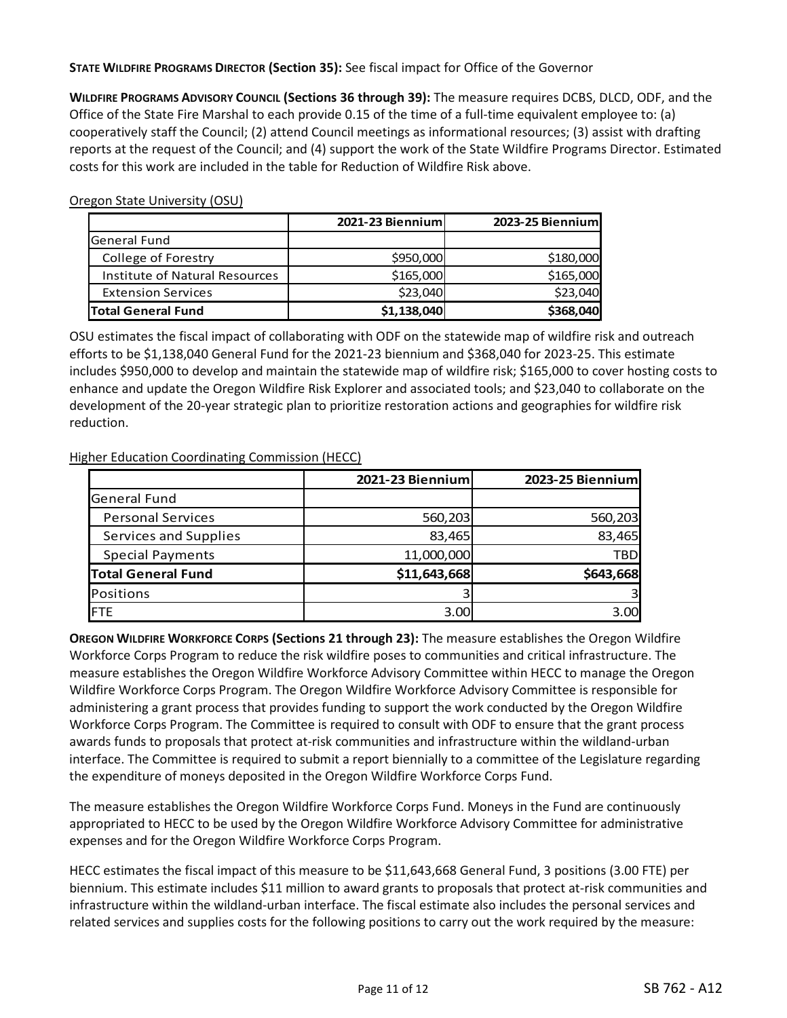**STATE WILDFIRE PROGRAMS DIRECTOR (Section 35):** See fiscal impact for Office of the Governor

**WILDFIRE PROGRAMS ADVISORY COUNCIL (Sections 36 through 39):** The measure requires DCBS, DLCD, ODF, and the Office of the State Fire Marshal to each provide 0.15 of the time of a full-time equivalent employee to: (a) cooperatively staff the Council; (2) attend Council meetings as informational resources; (3) assist with drafting reports at the request of the Council; and (4) support the work of the State Wildfire Programs Director. Estimated costs for this work are included in the table for Reduction of Wildfire Risk above.

Oregon State University (OSU)

|                                       | 2021-23 Biennium | 2023-25 Biennium |
|---------------------------------------|------------------|------------------|
| <b>General Fund</b>                   |                  |                  |
| College of Forestry                   | \$950,000        | \$180,000        |
| <b>Institute of Natural Resources</b> | \$165,000        | \$165,000        |
| <b>Extension Services</b>             | \$23,040         | \$23,040         |
| <b>Total General Fund</b>             | \$1,138,040      | \$368,040        |

OSU estimates the fiscal impact of collaborating with ODF on the statewide map of wildfire risk and outreach efforts to be \$1,138,040 General Fund for the 2021-23 biennium and \$368,040 for 2023-25. This estimate includes \$950,000 to develop and maintain the statewide map of wildfire risk; \$165,000 to cover hosting costs to enhance and update the Oregon Wildfire Risk Explorer and associated tools; and \$23,040 to collaborate on the development of the 20-year strategic plan to prioritize restoration actions and geographies for wildfire risk reduction.

## Higher Education Coordinating Commission (HECC)

|                           | 2021-23 Biennium | 2023-25 Biennium |
|---------------------------|------------------|------------------|
| <b>General Fund</b>       |                  |                  |
| <b>Personal Services</b>  | 560,203          | 560,203          |
| Services and Supplies     | 83,465           | 83,465           |
| <b>Special Payments</b>   | 11,000,000       | TBD              |
| <b>Total General Fund</b> | \$11,643,668     | \$643,668        |
| Positions                 |                  | 3                |
| <b>FTE</b>                | 3.00             | 3.00             |

**OREGON WILDFIRE WORKFORCE CORPS (Sections 21 through 23):** The measure establishes the Oregon Wildfire Workforce Corps Program to reduce the risk wildfire poses to communities and critical infrastructure. The measure establishes the Oregon Wildfire Workforce Advisory Committee within HECC to manage the Oregon Wildfire Workforce Corps Program. The Oregon Wildfire Workforce Advisory Committee is responsible for administering a grant process that provides funding to support the work conducted by the Oregon Wildfire Workforce Corps Program. The Committee is required to consult with ODF to ensure that the grant process awards funds to proposals that protect at-risk communities and infrastructure within the wildland-urban interface. The Committee is required to submit a report biennially to a committee of the Legislature regarding the expenditure of moneys deposited in the Oregon Wildfire Workforce Corps Fund.

The measure establishes the Oregon Wildfire Workforce Corps Fund. Moneys in the Fund are continuously appropriated to HECC to be used by the Oregon Wildfire Workforce Advisory Committee for administrative expenses and for the Oregon Wildfire Workforce Corps Program.

HECC estimates the fiscal impact of this measure to be \$11,643,668 General Fund, 3 positions (3.00 FTE) per biennium. This estimate includes \$11 million to award grants to proposals that protect at-risk communities and infrastructure within the wildland-urban interface. The fiscal estimate also includes the personal services and related services and supplies costs for the following positions to carry out the work required by the measure: